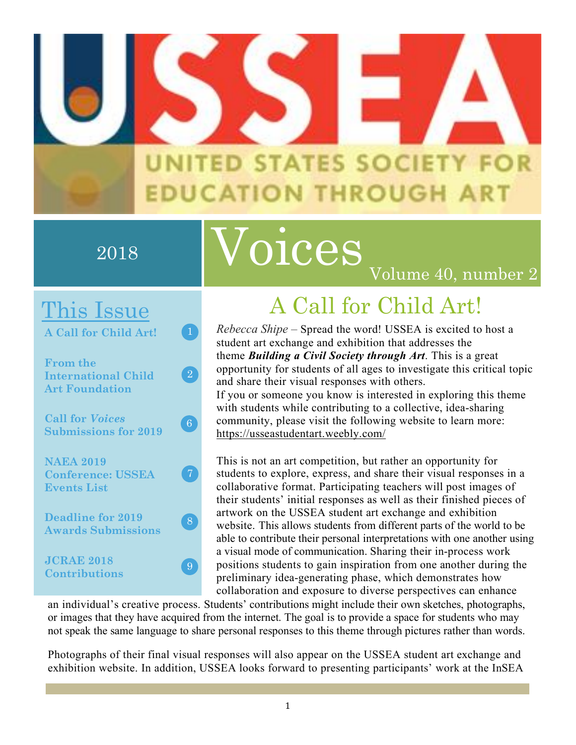

### 2018

# Voices

### This Issue

**A Call for Child Art!**

**From the International Child Art Foundation**

 $\boxed{2}$ 

 $\boxed{6}$ 

**Call for** *Voices* **Submissions for 2019**

**NAEA 2019 Conference: USSEA Events List**

**Deadline for 2019 Awards Submissions**

**JCRAE 2018 Contributions**

# A Call for Child Art!

Volume 40, number 2

*Rebecca Shipe* – Spread the word! USSEA is excited to host a student art exchange and exhibition that addresses the theme *Building a Civil Society through Art*. This is a great opportunity for students of all ages to investigate this critical topic and share their visual responses with others.

If you or someone you know is interested in exploring this theme with students while contributing to a collective, idea-sharing community, please visit the following website to learn more: https://usseastudentart.weebly.com/

This is not an art competition, but rather an opportunity for students to explore, express, and share their visual responses in a collaborative format. Participating teachers will post images of their students' initial responses as well as their finished pieces of artwork on the USSEA student art exchange and exhibition website. This allows students from different parts of the world to be able to contribute their personal interpretations with one another using a visual mode of communication. Sharing their in-process work positions students to gain inspiration from one another during the preliminary idea-generating phase, which demonstrates how collaboration and exposure to diverse perspectives can enhance

an individual's creative process. Students' contributions might include their own sketches, photographs, or images that they have acquired from the internet. The goal is to provide a space for students who may not speak the same language to share personal responses to this theme through pictures rather than words.

Photographs of their final visual responses will also appear on the USSEA student art exchange and exhibition website. In addition, USSEA looks forward to presenting participants' work at the InSEA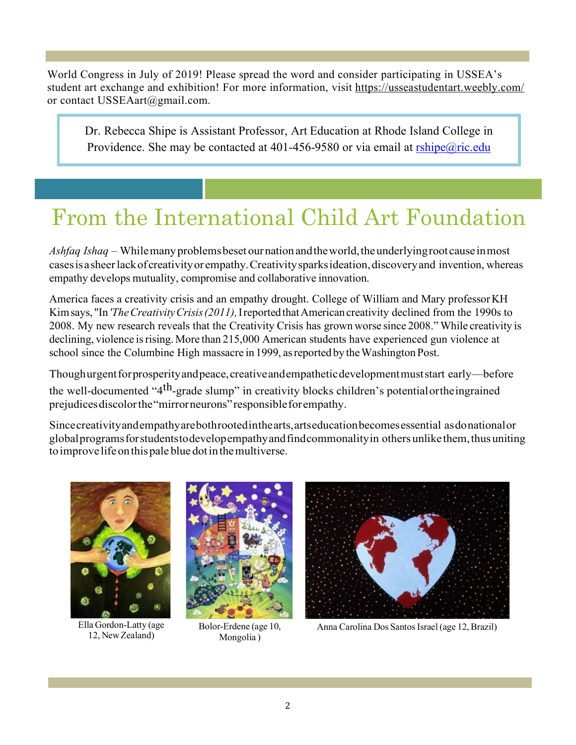World Congress in July of 2019! Please spread the word and consider participating in USSEA's student art exchange and exhibition! For more information, visit https://usseastudentart.weebly.com/ or contact USSEAart@gmail.com.

Dr. Rebecca Shipe is Assistant Professor, Art Education at Rhode Island College in Providence. She may be contacted at 401-456-9580 or via email at  $r\sin{\theta}$  ric.edu

## From the International Child Art Foundation

*Ashfaq Ishaq* – Whilemanyproblemsbeset ournationandtheworld,theunderlyingrootcause inmost casesisasheerlackofcreativityorempathy.Creativitysparksideation,discoveryand invention, whereas empathy develops mutuality, compromise and collaborative innovation.

America faces a creativity crisis and an empathy drought. College of William and Mary professorKH Kimsays, "In*'TheCreativityCrisis(2011),*IreportedthatAmericancreativity declined from the 1990s to 2008. My new research reveals that the Creativity Crisis has grown worse since 2008."While creativity is declining, violence is rising. More than 215,000 American students have experienced gun violence at school since the Columbine High massacre in 1999, as reported by the Washington Post.

Thoughurgent for prosperity and peace, creative and empathetic development must start early—before the well-documented "4<sup>th</sup>-grade slump" in creativity blocks children's potential or the ingrained prejudicesdiscolorthe"mirrorneurons"responsibleforempathy.

Sincecreativityandempathyarebothrootedinthearts,artseducationbecomesessential asdonationalor globalprogramsforstudentstodevelopempathyandfindcommonalityin others unlike them,thus uniting toimprove lifeonthispale blue dotinthemultiverse.



Ella Gordon-Latty (age 12, NewZealand)



Bolor-Erdene (age 10, Mongolia )



Anna Carolina Dos Santos Israel (age 12, Brazil)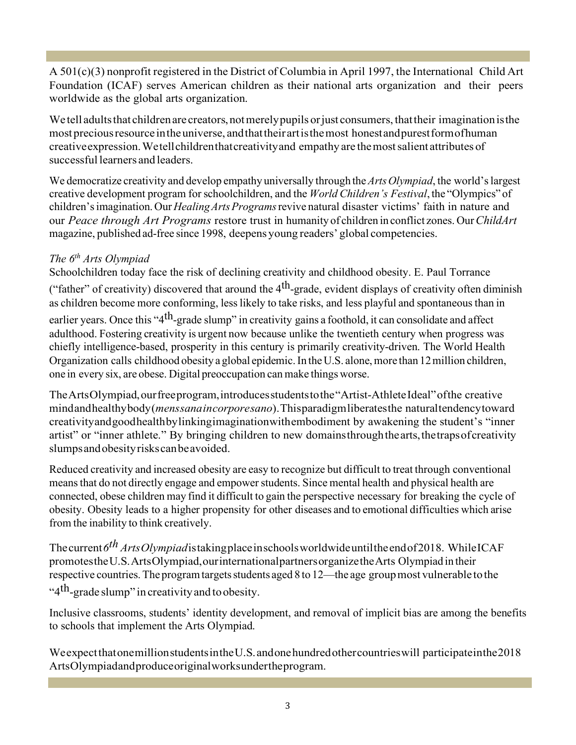A 501(c)(3) nonprofit registered in the District of Columbia in April 1997, the International Child Art Foundation (ICAF) serves American children as their national arts organization and their peers worldwide as the global arts organization.

We tell adults that children are creators, not merely pupils or just consumers, that their imagination is the most precious resource in the universe, and that their art is the most honest and purest form of human creativeexpression.Wetellchildrenthatcreativityand empathy are themostsalient attributes of successful learners and leaders.

We democratize creativity and develop empathy universally through the *Arts Olympiad*, the world's largest creative development program forschoolchildren, and the *World Children's Festival*, the "Olympics" of children'simagination. Our *HealingArtsPrograms*revive natural disaster victims' faith in nature and our *Peace through Art Programs* restore trust in humanity of children in conflict zones. Our*ChildArt* magazine, published ad-free since 1998, deepens young readers' global competencies.

#### *The 6th Arts Olympiad*

Schoolchildren today face the risk of declining creativity and childhood obesity. E. Paul Torrance

("father" of creativity) discovered that around the  $4<sup>th</sup>$ -grade, evident displays of creativity often diminish as children become more conforming, less likely to take risks, and less playful and spontaneous than in

earlier years. Once this "4<sup>th</sup>-grade slump" in creativity gains a foothold, it can consolidate and affect adulthood. Fostering creativity is urgent now because unlike the twentieth century when progress was chiefly intelligence-based, prosperity in this century is primarily creativity-driven. The World Health Organization calls childhood obesity a global epidemic. In the U.S. alone, more than 12 million children, one in every six, are obese. Digital preoccupation can make things worse.

TheArtsOlympiad,ourfreeprogram,introducesstudentstothe"Artist-AthleteIdeal"ofthe creative mindandhealthybody(*menssanaincorporesano*).Thisparadigmliberatesthe naturaltendencytoward creativityandgoodhealthbylinkingimaginationwithembodiment by awakening the student's "inner artist" or "inner athlete." By bringing children to new domainsthroughthearts,thetrapsofcreativity slumpsandobesityriskscanbeavoided.

Reduced creativity and increased obesity are easy to recognize but difficult to treat through conventional means that do not directly engage and empower students. Since mental health and physical health are connected, obese children may find it difficult to gain the perspective necessary for breaking the cycle of obesity. Obesity leads to a higher propensity for other diseases and to emotional difficulties which arise from the inability to think creatively.

Thecurrent*6th ArtsOlympiad*istakingplaceinschoolsworldwideuntiltheendof2018. WhileICAF promotestheU.S.ArtsOlympiad,ourinternationalpartnersorganizetheArts Olympiad in their respective countries.The programtargetsstudents aged 8 to 12—the age groupmost vulnerable tothe "4<sup>th</sup>-grade slump" in creativity and to obesity.

Inclusive classrooms, students' identity development, and removal of implicit bias are among the benefits to schools that implement the Arts Olympiad.

WeexpectthatonemillionstudentsintheU.S.andonehundredothercountrieswill participateinthe2018 ArtsOlympiadandproduceoriginalworksundertheprogram.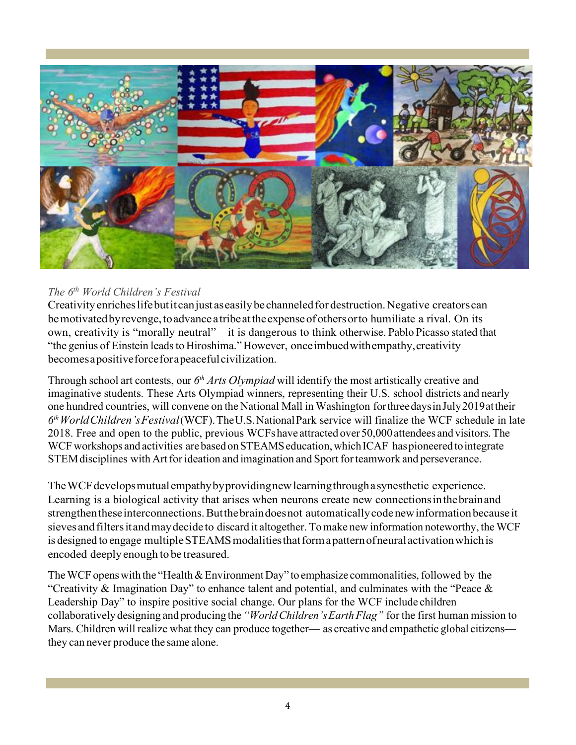

#### *The 6th World Children's Festival*

Creativity enriches lifebutit can just as easily be channeled for destruction. Negative creators can be motivated by revenge, to advance a tribe at the expense of others or to humiliate a rival. On its own, creativity is "morally neutral"—it is dangerous to think otherwise. Pablo Picasso stated that "the genius of Einstein leadsto Hiroshima." However, onceimbuedwithempathy,creativity becomesapositiveforceforapeacefulcivilization.

Through school art contests, our *6th Arts Olympiad* will identify the most artistically creative and imaginative students. These Arts Olympiad winners, representing their U.S. school districts and nearly one hundred countries, will convene on the National Mall in Washington forthreedaysinJuly2019attheir *6thWorldChildren'sFestival*(WCF).TheU.S.NationalPark service will finalize the WCF schedule in late 2018. Free and open to the public, previous WCFshave attracted over 50,000attendees and visitors.The WCF workshops and activities are based on STEAMS education, which ICAF has pioneered to integrate STEM disciplines with Art for ideation and imagination and Sport for teamwork and perseverance.

The WCF develops mutual empathy by providing new learning through a synesthetic experience. Learning is a biological activity that arises when neurons create new connectionsinthebrainand strengthen these interconnections. But the brain does not automatically code new information because it sieves and filters it and may decide to discard it altogether. To make new information noteworthy, the WCF is designed to engage multiple STEAMS modalities that form a pattern of neural activation which is encoded deeply enough to be treasured.

The WCF opens with the "Health & Environment Day" to emphasize commonalities, followed by the "Creativity & Imagination Day" to enhance talent and potential, and culminates with the "Peace  $\&$ Leadership Day" to inspire positive social change. Our plans for the WCF include children collaboratively designing and producing the*"WorldChildren'sEarthFlag"* for the first human mission to Mars. Children will realize what they can produce together— as creative and empathetic global citizens they can never produce the same alone.

 $C_{\rm eff}$  will go back into the world, inspired and ready to spearhead positive social change in the  $\alpha$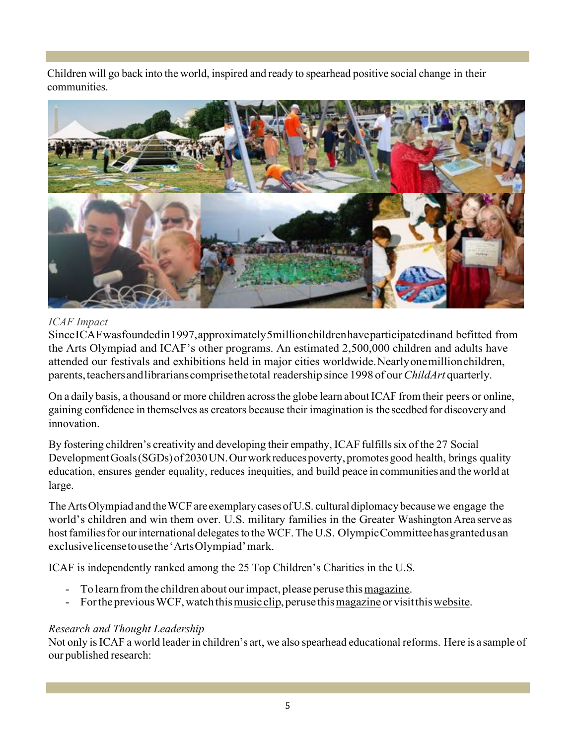Children will go back into the world, inspired and ready to spearhead positive social change in their communities.



#### *ICAF Impact*

SinceICAFwasfoundedin1997,approximately5millionchildrenhaveparticipatedinand befitted from the Arts Olympiad and ICAF's other programs. An estimated 2,500,000 children and adults have attended our festivals and exhibitions held in major cities worldwide.Nearlyonemillionchildren, parents,teachersandlibrarianscomprisethetotal readership since 1998 of our*ChildArt* quarterly.

On a daily basis, a thousand or more children across the globe learn about ICAF from their peers or online, gaining confidence in themselves as creators because their imagination is the seedbed for discovery and innovation.

By fostering children's creativity and developing their empathy, ICAF fulfills six of the 27 Social Development Goals (SGDs) of 2030 UN. Our work reduces poverty, promotes good health, brings quality education, ensures gender equality, reduces inequities, and build peace in communities and theworld at large.

The Arts Olympiad and the WCF are exemplary cases of U.S. cultural diplomacy because we engage the world's children and win them over. U.S. military families in the Greater Washington Area serve as host families for our international delegates to the WCF. The U.S. Olympic Committee has granted us an exclusivelicensetousethe'ArtsOlympiad'mark.

ICAF is independently ranked among the 25 Top Children's Charities in the U.S.

- To learn from the children about our impact, please peruse this magazine.
- For the previous WCF, watch this music clip, peruse this magazine or visit this website.

#### *Research and Thought Leadership*

Not only isICAF a world leader in children's art, we also spearhead educational reforms. Here is a sample of our published research: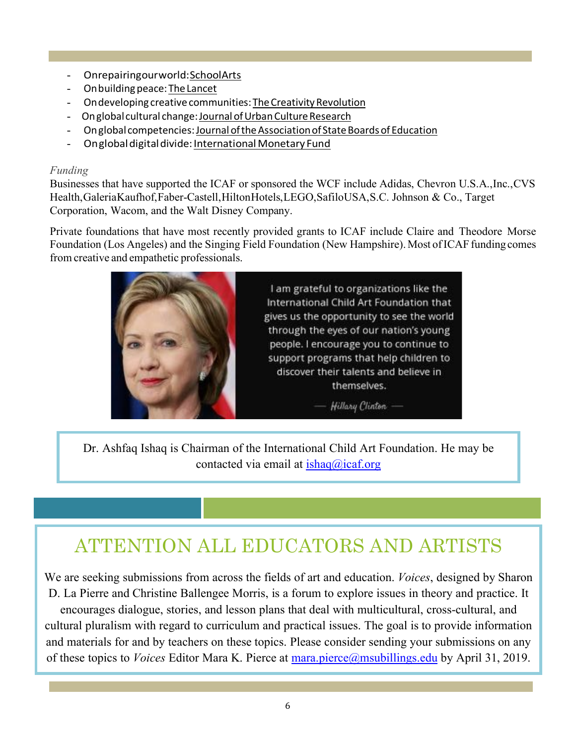- Onrepairingourworld:SchoolArts
- Onbuildingpeace:TheLancet
- On developing creative communities: The Creativity Revolution
- Onglobal cultural change: Journal of Urban Culture Research
- On global competencies: Journal of the Association of State Boards of Education
- Onglobal digital divide: International Monetary Fund

#### *Funding*

Businesses that have supported the ICAF or sponsored the WCF include Adidas, Chevron U.S.A.,Inc.,CVS Health,GaleriaKaufhof,Faber-Castell,HiltonHotels,LEGO,SafiloUSA,S.C. Johnson & Co., Target Corporation, Wacom, and the Walt Disney Company.

Private foundations that have most recently provided grants to ICAF include Claire and Theodore Morse Foundation (Los Angeles) and the Singing Field Foundation (New Hampshire). Most of ICAF funding comes from creative and empathetic professionals.



Dr. Ashfaq Ishaq is Chairman of the International Child Art Foundation. He may be contacted via email at  $\frac{\text{ishaq}(a)\text{icaf.org}}{\text{iaq}(a)}$ 

### ATTENTION ALL EDUCATORS AND ARTISTS

We are seeking submissions from across the fields of art and education. *Voices*, designed by Sharon D. La Pierre and Christine Ballengee Morris, is a forum to explore issues in theory and practice. It encourages dialogue, stories, and lesson plans that deal with multicultural, cross-cultural, and cultural pluralism with regard to curriculum and practical issues. The goal is to provide information and materials for and by teachers on these topics. Please consider sending your submissions on any of these topics to *Voices* Editor Mara K. Pierce at mara.pierce@msubillings.edu by April 31, 2019.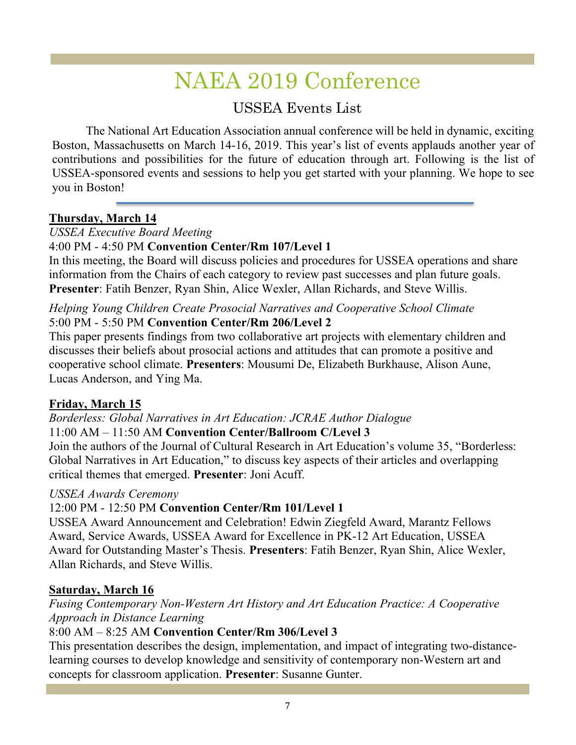### NAEA 2019 Conference

#### USSEA Events List

The National Art Education Association annual conference will be held in dynamic, exciting Boston, Massachusetts on March 14-16, 2019. This year's list of events applauds another year of contributions and possibilities for the future of education through art. Following is the list of USSEA-sponsored events and sessions to help you get started with your planning. We hope to see you in Boston!

#### **Thursday, March 14**

#### *USSEA Executive Board Meeting*

#### 4:00 PM - 4:50 PM **Convention Center/Rm 107/Level 1**

In this meeting, the Board will discuss policies and procedures for USSEA operations and share information from the Chairs of each category to review past successes and plan future goals. **Presenter**: Fatih Benzer, Ryan Shin, Alice Wexler, Allan Richards, and Steve Willis.

#### *Helping Young Children Create Prosocial Narratives and Cooperative School Climate* 5:00 PM - 5:50 PM **Convention Center/Rm 206/Level 2**

This paper presents findings from two collaborative art projects with elementary children and discusses their beliefs about prosocial actions and attitudes that can promote a positive and cooperative school climate. **Presenters**: Mousumi De, Elizabeth Burkhause, Alison Aune, Lucas Anderson, and Ying Ma.

#### **Friday, March 15**

*Borderless: Global Narratives in Art Education: JCRAE Author Dialogue* 11:00 AM – 11:50 AM **Convention Center/Ballroom C/Level 3**

Join the authors of the Journal of Cultural Research in Art Education's volume 35, "Borderless: Global Narratives in Art Education," to discuss key aspects of their articles and overlapping critical themes that emerged. **Presenter**: Joni Acuff.

#### *USSEA Awards Ceremony*

#### 12:00 PM - 12:50 PM **Convention Center/Rm 101/Level 1**

USSEA Award Announcement and Celebration! Edwin Ziegfeld Award, Marantz Fellows Award, Service Awards, USSEA Award for Excellence in PK-12 Art Education, USSEA Award for Outstanding Master's Thesis. **Presenters**: Fatih Benzer, Ryan Shin, Alice Wexler, Allan Richards, and Steve Willis.

#### **Saturday, March 16**

#### *Fusing Contemporary Non-Western Art History and Art Education Practice: A Cooperative Approach in Distance Learning*

#### 8:00 AM – 8:25 AM **Convention Center/Rm 306/Level 3**

This presentation describes the design, implementation, and impact of integrating two-distancelearning courses to develop knowledge and sensitivity of contemporary non-Western art and concepts for classroom application. **Presenter**: Susanne Gunter.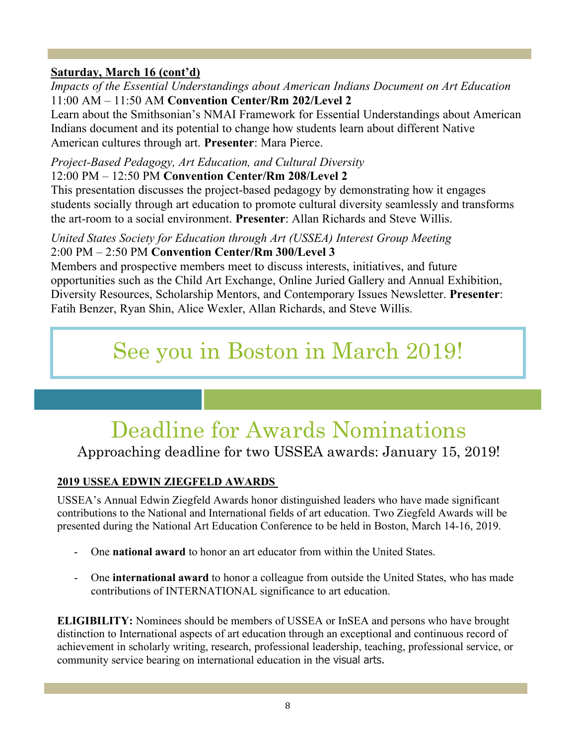#### **Saturday, March 16 (cont'd)**

*Impacts of the Essential Understandings about American Indians Document on Art Education* 11:00 AM – 11:50 AM **Convention Center/Rm 202/Level 2**

Learn about the Smithsonian's NMAI Framework for Essential Understandings about American Indians document and its potential to change how students learn about different Native American cultures through art. **Presenter**: Mara Pierce.

### *Project-Based Pedagogy, Art Education, and Cultural Diversity*

12:00 PM – 12:50 PM **Convention Center/Rm 208/Level 2**

This presentation discusses the project-based pedagogy by demonstrating how it engages students socially through art education to promote cultural diversity seamlessly and transforms the art-room to a social environment. **Presenter**: Allan Richards and Steve Willis.

#### *United States Society for Education through Art (USSEA) Interest Group Meeting* 2:00 PM – 2:50 PM **Convention Center/Rm 300/Level 3**

Members and prospective members meet to discuss interests, initiatives, and future opportunities such as the Child Art Exchange, Online Juried Gallery and Annual Exhibition, Diversity Resources, Scholarship Mentors, and Contemporary Issues Newsletter. **Presenter**: Fatih Benzer, Ryan Shin, Alice Wexler, Allan Richards, and Steve Willis.

### See you in Boston in March 2019!

### Deadline for Awards Nominations

Approaching deadline for two USSEA awards: January 15, 2019!

#### **2019 USSEA EDWIN ZIEGFELD AWARDS**

USSEA's Annual Edwin Ziegfeld Awards honor distinguished leaders who have made significant contributions to the National and International fields of art education. Two Ziegfeld Awards will be presented during the National Art Education Conference to be held in Boston, March 14-16, 2019.

- One **national award** to honor an art educator from within the United States.
- One **international award** to honor a colleague from outside the United States, who has made contributions of INTERNATIONAL significance to art education.

**ELIGIBILITY:** Nominees should be members of USSEA or InSEA and persons who have brought distinction to International aspects of art education through an exceptional and continuous record of achievement in scholarly writing, research, professional leadership, teaching, professional service, or community service bearing on international education in the visual arts.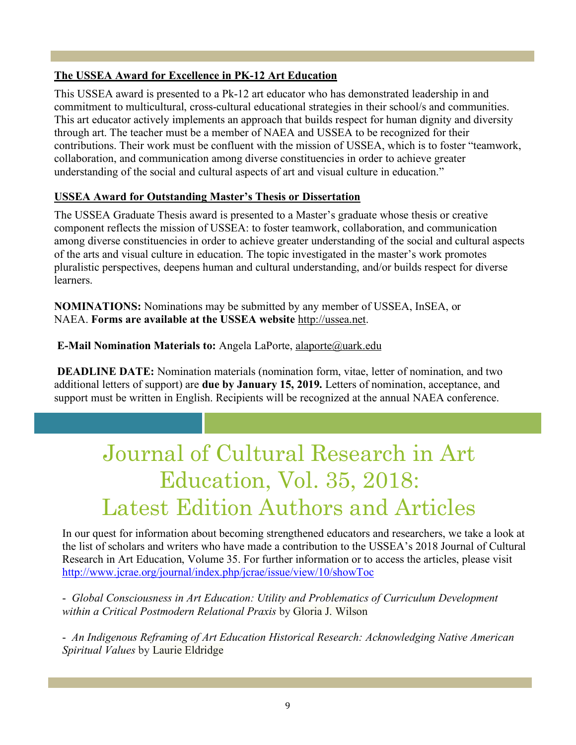#### **The USSEA Award for Excellence in PK-12 Art Education**

This USSEA award is presented to a Pk-12 art educator who has demonstrated leadership in and commitment to multicultural, cross-cultural educational strategies in their school/s and communities. This art educator actively implements an approach that builds respect for human dignity and diversity through art. The teacher must be a member of NAEA and USSEA to be recognized for their contributions. Their work must be confluent with the mission of USSEA, which is to foster "teamwork, collaboration, and communication among diverse constituencies in order to achieve greater understanding of the social and cultural aspects of art and visual culture in education."

#### **USSEA Award for Outstanding Master's Thesis or Dissertation**

The USSEA Graduate Thesis award is presented to a Master's graduate whose thesis or creative component reflects the mission of USSEA: to foster teamwork, collaboration, and communication among diverse constituencies in order to achieve greater understanding of the social and cultural aspects of the arts and visual culture in education. The topic investigated in the master's work promotes pluralistic perspectives, deepens human and cultural understanding, and/or builds respect for diverse learners.

**NOMINATIONS:** Nominations may be submitted by any member of USSEA, InSEA, or NAEA. **Forms are available at the USSEA website** http://ussea.net.

#### **E-Mail Nomination Materials to:** Angela LaPorte, alaporte@uark.edu

**DEADLINE DATE:** Nomination materials (nomination form, vitae, letter of nomination, and two additional letters of support) are **due by January 15, 2019.** Letters of nomination, acceptance, and support must be written in English. Recipients will be recognized at the annual NAEA conference.

### Journal of Cultural Research in Art Education, Vol. 35, 2018: Latest Edition Authors and Articles

In our quest for information about becoming strengthened educators and researchers, we take a look at the list of scholars and writers who have made a contribution to the USSEA's 2018 Journal of Cultural Research in Art Education, Volume 35. For further information or to access the articles, please visit http://www.jcrae.org/journal/index.php/jcrae/issue/view/10/showToc

- *Global Consciousness in Art Education: Utility and Problematics of Curriculum Development within a Critical Postmodern Relational Praxis* by Gloria J. Wilson

- *An Indigenous Reframing of Art Education Historical Research: Acknowledging Native American Spiritual Values* by Laurie Eldridge